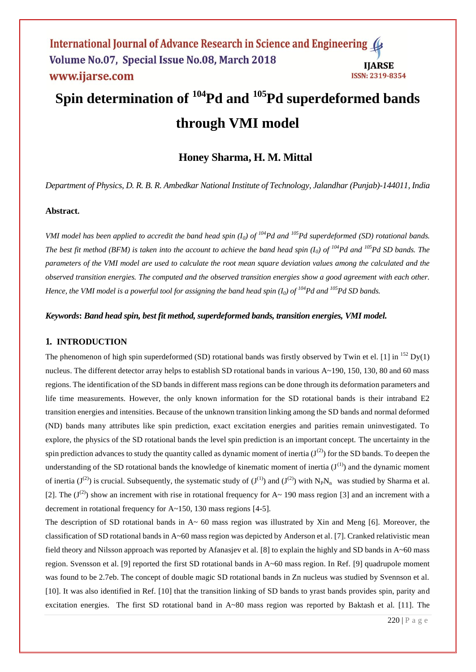# **Spin determination of <sup>104</sup>Pd and <sup>105</sup>Pd superdeformed bands through VMI model**

# **Honey Sharma, H. M. Mittal**

*Department of Physics, D. R. B. R. Ambedkar National Institute of Technology, Jalandhar (Punjab)-144011, India*

#### **Abstract.**

*VMI model has been applied to accredit the band head spin (I0) of <sup>104</sup>Pd and <sup>105</sup>Pd superdeformed (SD) rotational bands. The best fit method (BFM) is taken into the account to achieve the band head spin*  $(I_0)$  *of*  $I^{04}Pd$  *and*  $I^{05}Pd$  *SD bands. The parameters of the VMI model are used to calculate the root mean square deviation values among the calculated and the observed transition energies. The computed and the observed transition energies show a good agreement with each other. Hence, the VMI model is a powerful tool for assigning the band head spin (I0) of <sup>104</sup>Pd and <sup>105</sup>Pd SD bands.*

#### *Keywords***:** *Band head spin, best fit method, superdeformed bands, transition energies, VMI model.*

### **1. INTRODUCTION**

The phenomenon of high spin superdeformed (SD) rotational bands was firstly observed by Twin et el. [1] in  $^{152}$  Dy(1) nucleus. The different detector array helps to establish SD rotational bands in various A~190, 150, 130, 80 and 60 mass regions. The identification of the SD bands in different mass regions can be done through its deformation parameters and life time measurements. However, the only known information for the SD rotational bands is their intraband E2 transition energies and intensities. Because of the unknown transition linking among the SD bands and normal deformed (ND) bands many attributes like spin prediction, exact excitation energies and parities remain uninvestigated. To explore, the physics of the SD rotational bands the level spin prediction is an important concept. The uncertainty in the spin prediction advances to study the quantity called as dynamic moment of inertia  $(J^{(2)})$  for the SD bands. To deepen the understanding of the SD rotational bands the knowledge of kinematic moment of inertia  $(J^{(1)})$  and the dynamic moment of inertia (J<sup>(2)</sup>) is crucial. Subsequently, the systematic study of (J<sup>(1)</sup>) and (J<sup>(2)</sup>) with N<sub>P</sub>N<sub>n</sub> was studied by Sharma et al. [2]. The  $(J^{(2)})$  show an increment with rise in rotational frequency for A~ 190 mass region [3] and an increment with a decrement in rotational frequency for A~150, 130 mass regions [4-5].

The description of SD rotational bands in  $A \sim 60$  mass region was illustrated by Xin and Meng [6]. Moreover, the classification of SD rotational bands in A~60 mass region was depicted by Anderson et al. [7]. Cranked relativistic mean field theory and Nilsson approach was reported by Afanasjev et al. [8] to explain the highly and SD bands in A~60 mass region. Svensson et al. [9] reported the first SD rotational bands in A~60 mass region. In Ref. [9] quadrupole moment was found to be 2.7eb. The concept of double magic SD rotational bands in Zn nucleus was studied by Svennson et al. [10]. It was also identified in Ref. [10] that the transition linking of SD bands to yrast bands provides spin, parity and excitation energies. The first SD rotational band in A~80 mass region was reported by Baktash et al. [11]. The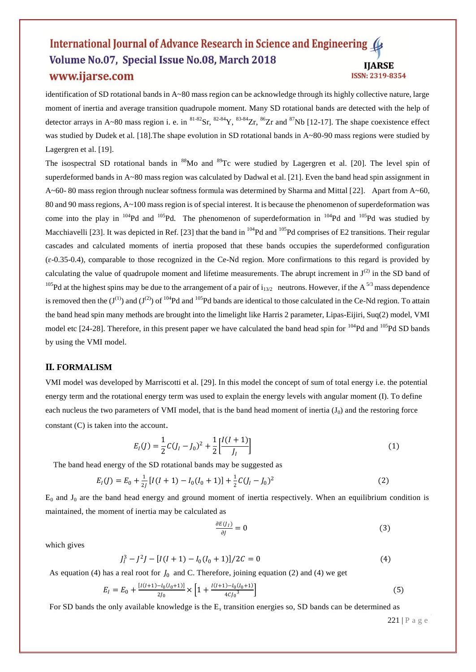identification of SD rotational bands in A~80 mass region can be acknowledge through its highly collective nature, large moment of inertia and average transition quadrupole moment. Many SD rotational bands are detected with the help of detector arrays in A~80 mass region i. e. in  ${}^{81-82}Sr$ ,  ${}^{82-84}Y$ ,  ${}^{83-84}Zr$ ,  ${}^{86}Zr$  and  ${}^{87}Nb$  [12-17]. The shape coexistence effect was studied by Dudek et al. [18]. The shape evolution in SD rotational bands in A~80-90 mass regions were studied by Lagergren et al. [19].

The isospectral SD rotational bands in <sup>88</sup>Mo and <sup>89</sup>Tc were studied by Lagergren et al. [20]. The level spin of superdeformed bands in A~80 mass region was calculated by Dadwal et al. [21]. Even the band head spin assignment in  $A~60-80$  mass region through nuclear softness formula was determined by Sharma and Mittal [22]. Apart from  $A~60$ , 80 and 90 mass regions, A~100 mass region is of special interest. It is because the phenomenon of superdeformation was come into the play in  $^{104}Pd$  and  $^{105}Pd$ . The phenomenon of superdeformation in  $^{104}Pd$  and  $^{105}Pd$  was studied by Macchiavelli [23]. It was depicted in Ref. [23] that the band in  $^{104}Pd$  and  $^{105}Pd$  comprises of E2 transitions. Their regular cascades and calculated moments of inertia proposed that these bands occupies the superdeformed configuration  $(\epsilon$ -0.35-0.4), comparable to those recognized in the Ce-Nd region. More confirmations to this regard is provided by calculating the value of quadrupole moment and lifetime measurements. The abrupt increment in  $J^{(2)}$  in the SD band of <sup>105</sup>Pd at the highest spins may be due to the arrangement of a pair of  $i_{13/2}$  neutrons. However, if the A<sup>5/3</sup> mass dependence is removed then the  $(J^{(1)})$  and  $(J^{(2)})$  of  $^{104}Pd$  and  $^{105}Pd$  bands are identical to those calculated in the Ce-Nd region. To attain the band head spin many methods are brought into the limelight like Harris 2 parameter, Lipas-Eijiri, Suq(2) model, VMI model etc [24-28]. Therefore, in this present paper we have calculated the band head spin for <sup>104</sup>Pd and <sup>105</sup>Pd SD bands by using the VMI model.

#### **II. FORMALISM**

VMI model was developed by Marriscotti et al. [29]. In this model the concept of sum of total energy i.e. the potential energy term and the rotational energy term was used to explain the energy levels with angular moment (I). To define each nucleus the two parameters of VMI model, that is the band head moment of inertia  $(J_0)$  and the restoring force constant (C) is taken into the account.

$$
E_I(J) = \frac{1}{2}C(J_I - J_0)^2 + \frac{1}{2}\left[\frac{I(I+1)}{J_I}\right]
$$
\n(1)

The band head energy of the SD rotational bands may be suggested as

$$
E_I(J) = E_0 + \frac{1}{2I} [I(I+1) - I_0(I_0+1)] + \frac{1}{2} C (I_1 - I_0)^2
$$
\n(2)

 $E_0$  and  $J_0$  are the band head energy and ground moment of inertia respectively. When an equilibrium condition is maintained, the moment of inertia may be calculated as

$$
\frac{\partial E(j_l)}{\partial J} = 0 \tag{3}
$$

which gives

$$
J_l^3 - J^2 J - [I(I+1) - I_0(I_0+1)]/2C = 0
$$
\n(4)

As equation (4) has a real root for  $J_0$  and C. Therefore, joining equation (2) and (4) we get

$$
E_I = E_0 + \frac{[I(I+1) - I_0(I_0+1)]}{2J_0} \times \left[1 + \frac{I(I+1) - I_0(I_0+1)}{4C_{J_0}^3}\right]
$$
(5)

For SD bands the only available knowledge is the  $E<sub>x</sub>$  transition energies so, SD bands can be determined as

221 | P a g e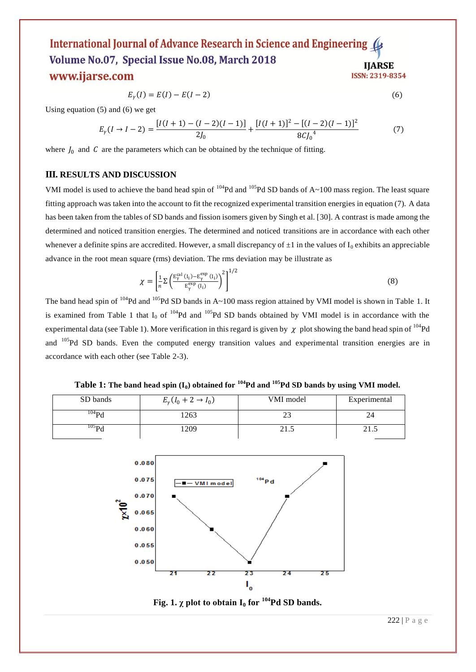$$
E_{\gamma}(I) = E(I) - E(I - 2) \tag{6}
$$

Using equation (5) and (6) we get

$$
E_{\gamma}(I \to I - 2) = \frac{[I(I + 1) - (I - 2)(I - 1)]}{2J_0} + \frac{[I(I + 1)]^2 - [(I - 2)(I - 1)]^2}{8CJ_0^4} \tag{7}
$$

where  $J_0$  and  $C$  are the parameters which can be obtained by the technique of fitting.

#### **III. RESULTS AND DISCUSSION**

VMI model is used to achieve the band head spin of  $^{104}Pd$  and  $^{105}Pd$  SD bands of A~100 mass region. The least square fitting approach was taken into the account to fit the recognized experimental transition energies in equation (7). A data has been taken from the tables of SD bands and fission isomers given by Singh et al. [30]. A contrast is made among the determined and noticed transition energies. The determined and noticed transitions are in accordance with each other whenever a definite spins are accredited. However, a small discrepancy of  $\pm 1$  in the values of  $I_0$  exhibits an appreciable advance in the root mean square (rms) deviation. The rms deviation may be illustrate as

$$
\chi = \left[\frac{1}{n}\Sigma \left(\frac{\mathrm{E}_{\gamma}^{\mathrm{cal}}\left(i_{i}\right)-\mathrm{E}_{\gamma}^{\mathrm{exp}}\left(i_{i}\right)}{\mathrm{E}_{\gamma}^{\mathrm{exp}}\left(i_{i}\right)}\right)^{2}\right]^{1/2} \tag{8}
$$

The band head spin of  $104Pd$  and  $105Pd$  SD bands in A~100 mass region attained by VMI model is shown in Table 1. It is examined from Table 1 that  $I_0$  of <sup>104</sup>Pd and <sup>105</sup>Pd SD bands obtained by VMI model is in accordance with the experimental data (see Table 1). More verification in this regard is given by  $\chi$  plot showing the band head spin of <sup>104</sup>Pd and <sup>105</sup>Pd SD bands. Even the computed energy transition values and experimental transition energies are in accordance with each other (see Table 2-3).

**Table 1:** The band head spin  $(I_0)$  obtained for  $I^{04}Pd$  and  $I^{05}Pd$  SD bands by using VMI model.

| SD bands   | $E_{\gamma}(I_0 + 2 \to I_0)$ | VMI model | Experimental |  |  |
|------------|-------------------------------|-----------|--------------|--|--|
| $^{104}Pd$ | 263                           | ر_ ب      |              |  |  |
| $^{105}$ D | 1209                          | 21.5      | 21.5         |  |  |



**Fig. 1.**  $\chi$  plot to obtain  $I_0$  for <sup>104</sup>Pd SD bands.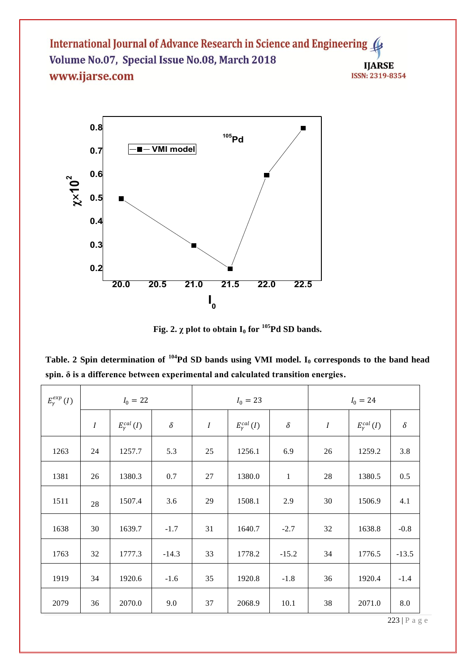

**Fig. 2.**  $\chi$  plot to obtain  $I_0$  for <sup>105</sup>**Pd SD bands.** 

**Table. 2 Spin determination of <sup>104</sup>Pd SD bands using VMI model. I<sup>0</sup> corresponds to the band head spin. δ is a difference between experimental and calculated transition energies.**

| $E_\gamma^{exp}\left(I\right)$ | $I_0 = 22$       |                       |          | $I_0 = 23$       |                     |              | $I_0 = 24$ |                       |          |
|--------------------------------|------------------|-----------------------|----------|------------------|---------------------|--------------|------------|-----------------------|----------|
|                                | $\boldsymbol{l}$ | $E_{\gamma}^{cal}(I)$ | $\delta$ | $\boldsymbol{I}$ | $E_\gamma^{cal}(I)$ | $\delta$     | $\cal I$   | $E_{\gamma}^{cal}(I)$ | $\delta$ |
| 1263                           | 24               | 1257.7                | 5.3      | 25               | 1256.1              | 6.9          | 26         | 1259.2                | 3.8      |
| 1381                           | 26               | 1380.3                | 0.7      | 27               | 1380.0              | $\mathbf{1}$ | 28         | 1380.5                | 0.5      |
| 1511                           | 28               | 1507.4                | 3.6      | 29               | 1508.1              | 2.9          | 30         | 1506.9                | 4.1      |
| 1638                           | 30               | 1639.7                | $-1.7$   | 31               | 1640.7              | $-2.7$       | 32         | 1638.8                | $-0.8$   |
| 1763                           | 32               | 1777.3                | $-14.3$  | 33               | 1778.2              | $-15.2$      | 34         | 1776.5                | $-13.5$  |
| 1919                           | 34               | 1920.6                | $-1.6$   | 35               | 1920.8              | $-1.8$       | 36         | 1920.4                | $-1.4$   |
| 2079                           | 36               | 2070.0                | 9.0      | 37               | 2068.9              | 10.1         | 38         | 2071.0                | $8.0\,$  |

223 | P a g e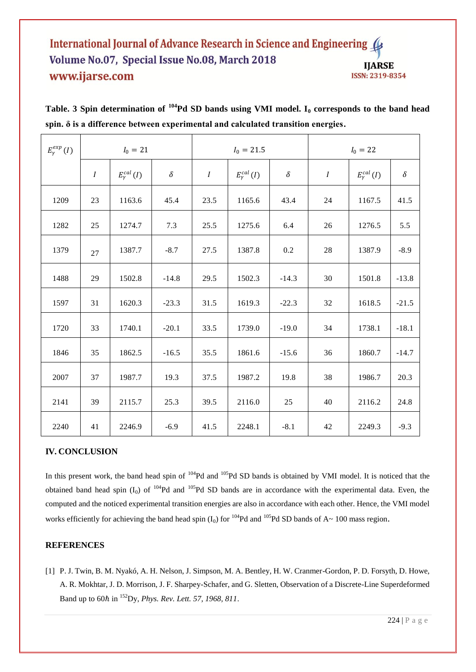| $E_{\gamma}^{exp}(I)$ | $I_0 = 21$       |                       |          | $I_0 = 21.5$     |                       |          | $I_0 = 22$       |                       |          |
|-----------------------|------------------|-----------------------|----------|------------------|-----------------------|----------|------------------|-----------------------|----------|
|                       | $\boldsymbol{I}$ | $E_{\gamma}^{cal}(I)$ | $\delta$ | $\boldsymbol{I}$ | $E_{\gamma}^{cal}(I)$ | $\delta$ | $\boldsymbol{I}$ | $E_{\gamma}^{cal}(I)$ | $\delta$ |
| 1209                  | 23               | 1163.6                | 45.4     | 23.5             | 1165.6                | 43.4     | 24               | 1167.5                | 41.5     |
| 1282                  | 25               | 1274.7                | 7.3      | 25.5             | 1275.6                | 6.4      | 26               | 1276.5                | 5.5      |
| 1379                  | 27               | 1387.7                | $-8.7$   | 27.5             | 1387.8                | 0.2      | 28               | 1387.9                | $-8.9$   |
| 1488                  | 29               | 1502.8                | $-14.8$  | 29.5             | 1502.3                | $-14.3$  | 30               | 1501.8                | $-13.8$  |
| 1597                  | 31               | 1620.3                | $-23.3$  | 31.5             | 1619.3                | $-22.3$  | 32               | 1618.5                | $-21.5$  |
| 1720                  | 33               | 1740.1                | $-20.1$  | 33.5             | 1739.0                | $-19.0$  | 34               | 1738.1                | $-18.1$  |
| 1846                  | 35               | 1862.5                | $-16.5$  | 35.5             | 1861.6                | $-15.6$  | 36               | 1860.7                | $-14.7$  |
| 2007                  | 37               | 1987.7                | 19.3     | 37.5             | 1987.2                | 19.8     | 38               | 1986.7                | 20.3     |
| 2141                  | 39               | 2115.7                | 25.3     | 39.5             | 2116.0                | 25       | 40               | 2116.2                | 24.8     |
| 2240                  | 41               | 2246.9                | $-6.9$   | 41.5             | 2248.1                | $-8.1$   | 42               | 2249.3                | $-9.3$   |

**Table. 3 Spin determination of <sup>104</sup>Pd SD bands using VMI model. I<sup>0</sup> corresponds to the band head spin. δ is a difference between experimental and calculated transition energies.**

# **IV. CONCLUSION**

In this present work, the band head spin of <sup>104</sup>Pd and <sup>105</sup>Pd SD bands is obtained by VMI model. It is noticed that the obtained band head spin  $(I_0)$  of  $104Pd$  and  $105Pd$  SD bands are in accordance with the experimental data. Even, the computed and the noticed experimental transition energies are also in accordance with each other. Hence, the VMI model works efficiently for achieving the band head spin  $(I_0)$  for  $^{104}Pd$  and  $^{105}Pd$  SD bands of A~ 100 mass region.

## **REFERENCES**

[1] P. J. Twin, B. M. Nyakó, A. H. Nelson, J. Simpson, M. A. Bentley, H. W. Cranmer-Gordon, P. D. Forsyth, D. Howe, A. R. Mokhtar, J. D. Morrison, J. F. Sharpey-Schafer, and G. Sletten, Observation of a Discrete-Line Superdeformed Band up to 60ℏ in <sup>152</sup>Dy, *Phys. Rev. Lett. 57, 1968, 811*.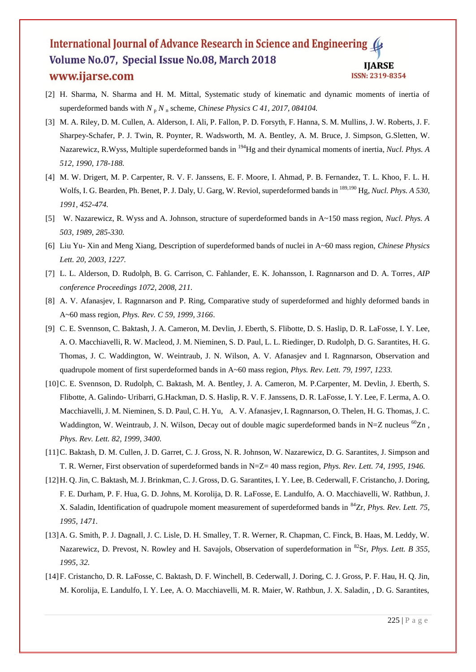- [2] H. Sharma, N. Sharma and H. M. Mittal, Systematic study of kinematic and dynamic moments of inertia of superdeformed bands with  $N_p N_n$  scheme, *[Chinese Physics C](http://iopscience.iop.org/journal/1674-1137) 41, 2017, 084104*.
- [3] M. A. Riley, D. M. Cullen, A. Alderson, I. Ali, P. Fallon, P. D. Forsyth, F. Hanna, S. M. Mullins, J. W. Roberts, J. F. Sharpey-Schafer, P. J. [Twin,](https://www.sciencedirect.com/science/article/pii/037594749090010J#!) R. Poynter, R. Wadsworth, M. A. Bentley, A. M. Bruce, J. Simpson, G.Sletten, W. Nazarewicz, R.Wyss, Multiple superdeformed bands in <sup>194</sup>Hg and their dynamical moments of inertia, *Nucl. Phys. A 512, 1990, 178-188.*
- [4] M. W. Drigert, M. P. Carpenter, R. V. F. Janssens, E. F. Moore, I. Ahmad, P. B. Fernandez, T. L. Khoo, [F. L.](https://www.sciencedirect.com/science/article/pii/037594749190813L#!) H. [Wolfs,](https://www.sciencedirect.com/science/article/pii/037594749190813L#!) I. G. Bearden, Ph. Benet, P. J. [Daly,](https://www.sciencedirect.com/science/article/pii/037594749190813L#!) U. [Garg,](https://www.sciencedirect.com/science/article/pii/037594749190813L#!) W. Reviol, superdeformed bands in 189,190 Hg, *Nucl. Phys. A 530, 1991, 452-474.*
- [5] W. [Nazarewicz,](https://www.sciencedirect.com/science/article/pii/037594749090010J#!) R. Wyss and A. Johnson, structure of superdeformed bands in A~150 mass region, *Nucl. Phys. A 503, 1989, 285-330.*
- [6] Liu Yu- Xin and Meng Xiang, Description of superdeformed bands of nuclei in A~60 mass region, *Chinese Physics Lett. 20, 2003, 1227.*
- [7] L. L. Alderson, D. Rudolph, B. G. Carrison, C. Fahlander, E. K. Johansson, I. Ragnnarson and D. A. Torres*, AIP conference Proceedings 1072, 2008, 211.*
- [8] A. V. Afanasjev, I. Ragnnarson and P. Ring, Comparative study of superdeformed and highly deformed bands in A~60 mass region, *Phys. Rev. C 59, 1999, 3166*.
- [9] C. E. Svennson, C. Baktash, J. A. Cameron, M. Devlin, J. Eberth, S. Flibotte, D. S. Haslip, D. R. LaFosse, I. Y. Lee, A. O. Macchiavelli, R. W. Macleod, J. M. Nieminen, S. D. Paul, L. L. Riedinger, D. Rudolph, D. G. Sarantites, H. G. Thomas, J. C. Waddington, W. Weintraub, J. N. Wilson, A. V. Afanasjev and I. Ragnnarson, Observation and quadrupole moment of first superdeformed bands in A~60 mass region, *Phys. Rev. Lett. 79, 1997, 1233.*
- [10]C. E. Svennson, D. Rudolph, C. Baktash, M. A. Bentley, J. A. Cameron, M. P.Carpenter, M. Devlin, J. Eberth, S. Flibotte, A. Galindo- Uribarri, G.Hackman, D. S. Haslip, R. V. F. Janssens, D. R. LaFosse, I. Y. Lee, F. Lerma, A. O. Macchiavelli, J. M. Nieminen, S. D. Paul, C. H. Yu, A. V. Afanasjev, I. Ragnnarson, O. Thelen, H. G. Thomas, J. C. Waddington, W. Weintraub, J. N. Wilson, Decay out of double magic superdeformed bands in N=Z nucleus <sup>60</sup>Zn, *Phys. Rev. Lett. 82, 1999, 3400.*
- [11]C. Baktash, D. M. Cullen, J. D. Garret, C. J. Gross, N. R. Johnson, W. Nazarewicz, D. G. Sarantites, J. Simpson and T. R. Werner, First observation of superdeformed bands in N=Z= 40 mass region, *Phys. Rev. Lett. 74, 1995, 1946.*
- [12]H. Q. Jin, C. Baktash, M. J. Brinkman, C. J. Gross, D. G. Sarantites, I. Y. Lee, B. Cederwall, F. Cristancho, J. Doring, F. E. Durham, P. F. Hua, G. D. Johns, M. Korolija, D. R. LaFosse, E. Landulfo, A. O. Macchiavelli, W. Rathbun, J. X. Saladin, Identification of quadrupole moment measurement of superdeformed bands in <sup>84</sup>Zr, *Phys. Rev. Lett. 75, 1995, 1471.*
- [13]A. G. Smith, P. J. Dagnall, J. C. Lisle, D. H. Smalley, T. R. Werner, R. Chapman, C. Finck, B. Haas, M. Leddy, W. Nazarewicz, D. Prevost, N. Rowley and H. Savajols, Observation of superdeformation in <sup>82</sup>Sr, *Phys. Lett. B 355, 1995, 32.*
- [14]F. Cristancho, D. R. LaFosse, C. Baktash, D. F. Winchell, B. Cederwall, J. Doring, C. J. Gross, P. F. Hau, H. Q. Jin, M. Korolija, E. Landulfo, I. Y. Lee, A. O. Macchiavelli, M. R. Maier, W. Rathbun, J. X. Saladin, , D. G. Sarantites,